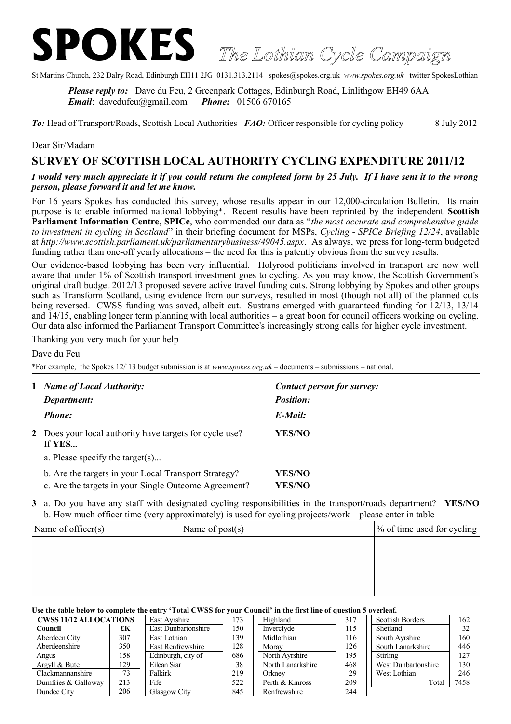# **SPOKES** *The Lothian Cycle Campaign*

St Martins Church, 232 Dalry Road, Edinburgh EH11 2JG 0131.313.2114 spokes@spokes.org.uk *www.spokes.org.uk* twitter SpokesLothian

*Please reply to:* Dave du Feu, 2 Greenpark Cottages, Edinburgh Road, Linlithgow EH49 6AA *Email*: davedufeu@gmail.com *Phone:* 01506 670165

*To:* Head of Transport/Roads, Scottish Local Authorities *FAO:* Officer responsible for cycling policy 8 July 2012

### Dear Sir/Madam

# **SURVEY OF SCOTTISH LOCAL AUTHORITY CYCLING EXPENDITURE 2011/12**

## *I would very much appreciate it if you could return the completed form by 25 July. If I have sent it to the wrong person, please forward it and let me know.*

For 16 years Spokes has conducted this survey, whose results appear in our 12,000-circulation Bulletin. Its main purpose is to enable informed national lobbying\*. Recent results have been reprinted by the independent **Scottish Parliament Information Centre**, **SPICe**, who commended our data as "*the most accurate and comprehensive guide to investment in cycling in Scotland*" in their briefing document for MSPs, *Cycling - SPICe Briefing 12/24*, available at *http://www.scottish.parliament.uk/parliamentarybusiness/49045.aspx*. As always, we press for long-term budgeted funding rather than one-off yearly allocations – the need for this is patently obvious from the survey results.

Our evidence-based lobbying has been very influential. Holyrood politicians involved in transport are now well aware that under 1% of Scottish transport investment goes to cycling. As you may know, the Scottish Government's original draft budget 2012/13 proposed severe active travel funding cuts. Strong lobbying by Spokes and other groups such as Transform Scotland, using evidence from our surveys, resulted in most (though not all) of the planned cuts being reversed. CWSS funding was saved, albeit cut. Sustrans emerged with guaranteed funding for  $\frac{12}{13}$ , 13/14 and  $14/15$ , enabling longer term planning with local authorities – a great boon for council officers working on cycling. Our data also informed the Parliament Transport Committee's increasingly strong calls for higher cycle investment.

Thanking you very much for your help

Dave du Feu

\*For example, the Spokes 12/`13 budget submission is at *www.spokes.org.uk* – documents – submissions – national.

| $\mathbf{1}$ | <b>Name of Local Authority:</b><br>Department:                                                               | Contact person for survey:<br><b>Position:</b> |  |  |
|--------------|--------------------------------------------------------------------------------------------------------------|------------------------------------------------|--|--|
|              | <b>Phone:</b>                                                                                                | E-Mail:                                        |  |  |
|              | 2 Does your local authority have targets for cycle use?<br>If YES<br>a. Please specify the target $(s)$      | YES/NO                                         |  |  |
|              | b. Are the targets in your Local Transport Strategy?<br>c. Are the targets in your Single Outcome Agreement? | <b>YES/NO</b><br><b>YES/NO</b>                 |  |  |

**3** a. Do you have any staff with designated cycling responsibilities in the transport/roads department? **YES/NO** b. How much officer time (very approximately) is used for cycling projects/work – please enter in table

| Name of officer(s) | Name of $post(s)$ | \% of time used for cycling |
|--------------------|-------------------|-----------------------------|
|                    |                   |                             |
|                    |                   |                             |
|                    |                   |                             |
|                    |                   |                             |

#### **Use the table below to complete the entry 'Total CWSS for your Council' in the first line of question 5 overleaf.**

| <b>CWSS 11/12 ALLOCATIONS</b> |     | East Avrshire              | 173 | Highland          | 317 | <b>Scottish Borders</b> | 162  |
|-------------------------------|-----|----------------------------|-----|-------------------|-----|-------------------------|------|
| Council                       | £К  | <b>East Dunbartonshire</b> | 150 | Inverclyde        | 115 | Shetland                | 32   |
| Aberdeen City                 | 307 | East Lothian               | 139 | Midlothian        | 116 | South Avrshire          | 160  |
| Aberdeenshire                 | 350 | East Renfrewshire          | 128 | Moray             | 126 | South Lanarkshire       | 446  |
| Angus                         | 158 | Edinburgh, city of         | 686 | North Avrshire    | 195 | Stirling                | 127  |
| Argyll & Bute                 | 129 | Eilean Siar                | 38  | North Lanarkshire | 468 | West Dunbartonshire     | 130  |
| Clackmannanshire              | 73  | Falkirk                    | 219 | Orknev            | 29  | West Lothian            | 246  |
| Dumfries & Galloway           | 213 | Fife                       | 522 | Perth & Kinross   | 209 | Total                   | 7458 |
| Dundee City                   | 206 | Glasgow City               | 845 | Renfrewshire      | 244 |                         |      |